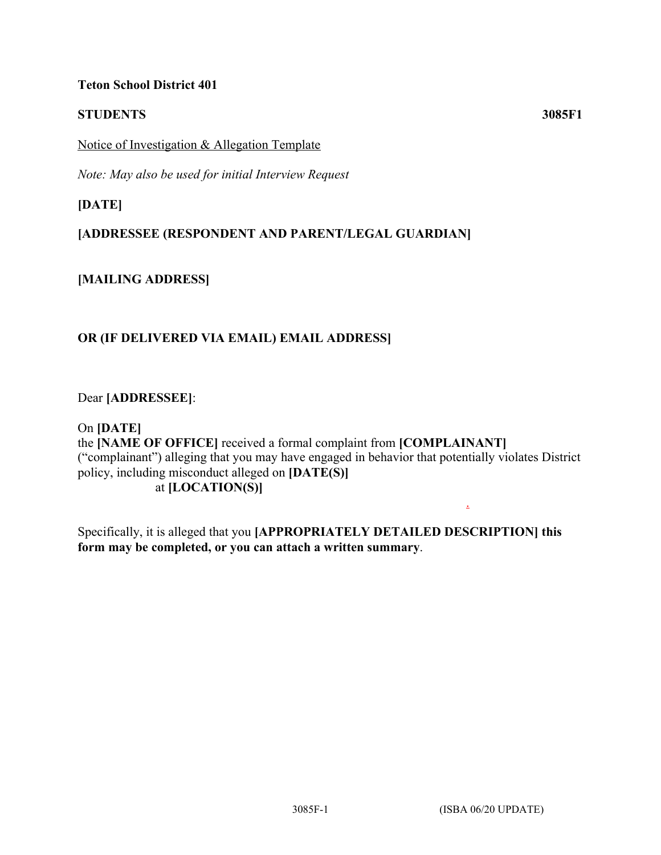### **Teton School District 401**

# **STUDENTS 3085F1**

Notice of Investigation & Allegation Template

*Note: May also be used for initial Interview Request*

**[DATE]**

# **[ADDRESSEE (RESPONDENT AND PARENT/LEGAL GUARDIAN]**

**[MAILING ADDRESS]**

# **OR (IF DELIVERED VIA EMAIL) EMAIL ADDRESS]**

Dear **[ADDRESSEE]**:

On **[DATE]** the **[NAME OF OFFICE]** received a formal complaint from **[COMPLAINANT]** ("complainant") alleging that you may have engaged in behavior that potentially violates District policy, including misconduct alleged on **[DATE(S)]** at **[LOCATION(S)]**

Specifically, it is alleged that you **[APPROPRIATELY DETAILED DESCRIPTION] this form may be completed, or you can attach a written summary**.

3085F-1 (ISBA 06/20 UPDATE)

.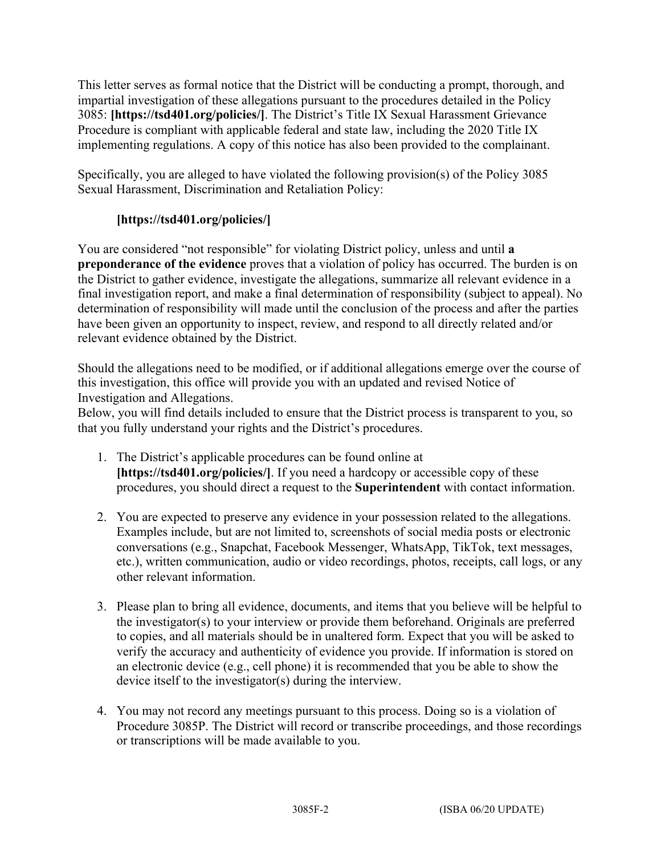This letter serves as formal notice that the District will be conducting a prompt, thorough, and impartial investigation of these allegations pursuant to the procedures detailed in the Policy 3085: **[https://tsd401.org/policies/]**. The District's Title IX Sexual Harassment Grievance Procedure is compliant with applicable federal and state law, including the 2020 Title IX implementing regulations. A copy of this notice has also been provided to the complainant.

Specifically, you are alleged to have violated the following provision(s) of the Policy 3085 Sexual Harassment, Discrimination and Retaliation Policy:

# **[https://tsd401.org/policies/]**

You are considered "not responsible" for violating District policy, unless and until **a preponderance of the evidence** proves that a violation of policy has occurred. The burden is on the District to gather evidence, investigate the allegations, summarize all relevant evidence in a final investigation report, and make a final determination of responsibility (subject to appeal). No determination of responsibility will made until the conclusion of the process and after the parties have been given an opportunity to inspect, review, and respond to all directly related and/or relevant evidence obtained by the District.

Should the allegations need to be modified, or if additional allegations emerge over the course of this investigation, this office will provide you with an updated and revised Notice of Investigation and Allegations.

Below, you will find details included to ensure that the District process is transparent to you, so that you fully understand your rights and the District's procedures.

- 1. The District's applicable procedures can be found online at **[https://tsd401.org/policies/]**. If you need a hardcopy or accessible copy of these procedures, you should direct a request to the **Superintendent** with contact information.
- 2. You are expected to preserve any evidence in your possession related to the allegations. Examples include, but are not limited to, screenshots of social media posts or electronic conversations (e.g., Snapchat, Facebook Messenger, WhatsApp, TikTok, text messages, etc.), written communication, audio or video recordings, photos, receipts, call logs, or any other relevant information.
- 3. Please plan to bring all evidence, documents, and items that you believe will be helpful to the investigator(s) to your interview or provide them beforehand. Originals are preferred to copies, and all materials should be in unaltered form. Expect that you will be asked to verify the accuracy and authenticity of evidence you provide. If information is stored on an electronic device (e.g., cell phone) it is recommended that you be able to show the device itself to the investigator(s) during the interview.
- 4. You may not record any meetings pursuant to this process. Doing so is a violation of Procedure 3085P. The District will record or transcribe proceedings, and those recordings or transcriptions will be made available to you.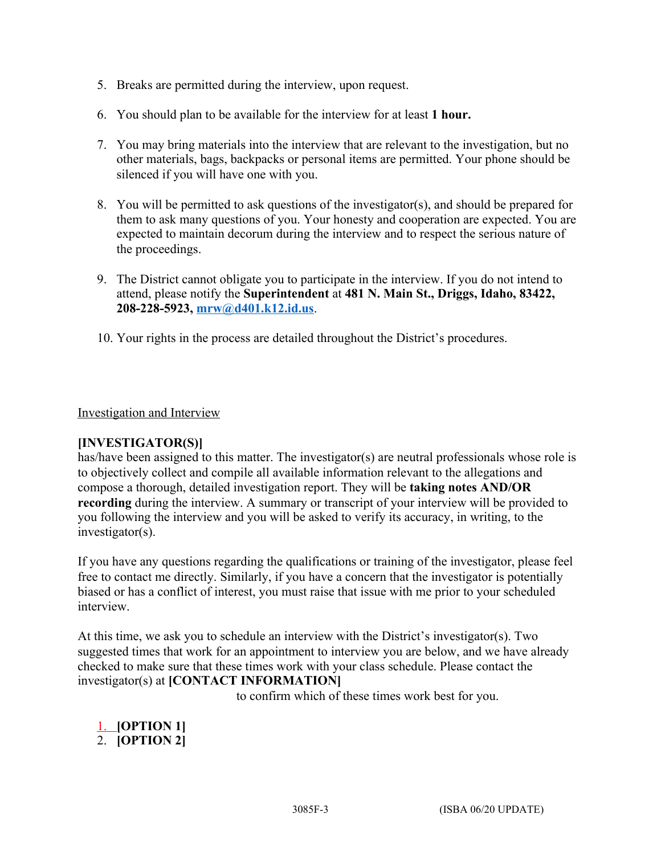- 5. Breaks are permitted during the interview, upon request.
- 6. You should plan to be available for the interview for at least **1 hour.**
- 7. You may bring materials into the interview that are relevant to the investigation, but no other materials, bags, backpacks or personal items are permitted. Your phone should be silenced if you will have one with you.
- 8. You will be permitted to ask questions of the investigator(s), and should be prepared for them to ask many questions of you. Your honesty and cooperation are expected. You are expected to maintain decorum during the interview and to respect the serious nature of the proceedings.
- 9. The District cannot obligate you to participate in the interview. If you do not intend to attend, please notify the **Superintendent** at **481 N. Main St., Driggs, Idaho, 83422, 208-228-5923, [mrw@d401.k12.id.us](mailto:mrw@d401.k12.id.us)**.
- 10. Your rights in the process are detailed throughout the District's procedures.

### Investigation and Interview

#### **[INVESTIGATOR(S)]**

has/have been assigned to this matter. The investigator(s) are neutral professionals whose role is to objectively collect and compile all available information relevant to the allegations and compose a thorough, detailed investigation report. They will be **taking notes AND/OR recording** during the interview. A summary or transcript of your interview will be provided to you following the interview and you will be asked to verify its accuracy, in writing, to the investigator(s).

If you have any questions regarding the qualifications or training of the investigator, please feel free to contact me directly. Similarly, if you have a concern that the investigator is potentially biased or has a conflict of interest, you must raise that issue with me prior to your scheduled interview.

At this time, we ask you to schedule an interview with the District's investigator(s). Two suggested times that work for an appointment to interview you are below, and we have already checked to make sure that these times work with your class schedule. Please contact the investigator(s) at **[CONTACT INFORMATION]**

to confirm which of these times work best for you.

1. **[OPTION 1]** 2. **[OPTION 2]**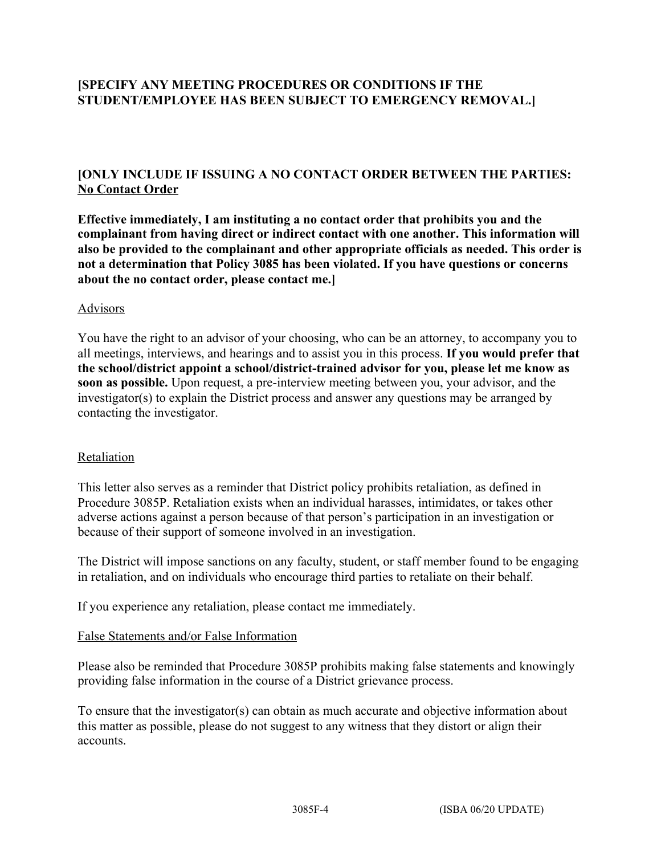# **[SPECIFY ANY MEETING PROCEDURES OR CONDITIONS IF THE STUDENT/EMPLOYEE HAS BEEN SUBJECT TO EMERGENCY REMOVAL.]**

### **[ONLY INCLUDE IF ISSUING A NO CONTACT ORDER BETWEEN THE PARTIES: No Contact Order**

**Effective immediately, I am instituting a no contact order that prohibits you and the complainant from having direct or indirect contact with one another. This information will also be provided to the complainant and other appropriate officials as needed. This order is not a determination that Policy 3085 has been violated. If you have questions or concerns about the no contact order, please contact me.]**

### Advisors

You have the right to an advisor of your choosing, who can be an attorney, to accompany you to all meetings, interviews, and hearings and to assist you in this process. **If you would prefer that the school/district appoint a school/district-trained advisor for you, please let me know as soon as possible.** Upon request, a pre-interview meeting between you, your advisor, and the investigator(s) to explain the District process and answer any questions may be arranged by contacting the investigator.

#### Retaliation

This letter also serves as a reminder that District policy prohibits retaliation, as defined in Procedure 3085P. Retaliation exists when an individual harasses, intimidates, or takes other adverse actions against a person because of that person's participation in an investigation or because of their support of someone involved in an investigation.

The District will impose sanctions on any faculty, student, or staff member found to be engaging in retaliation, and on individuals who encourage third parties to retaliate on their behalf.

If you experience any retaliation, please contact me immediately.

#### False Statements and/or False Information

Please also be reminded that Procedure 3085P prohibits making false statements and knowingly providing false information in the course of a District grievance process.

To ensure that the investigator(s) can obtain as much accurate and objective information about this matter as possible, please do not suggest to any witness that they distort or align their accounts.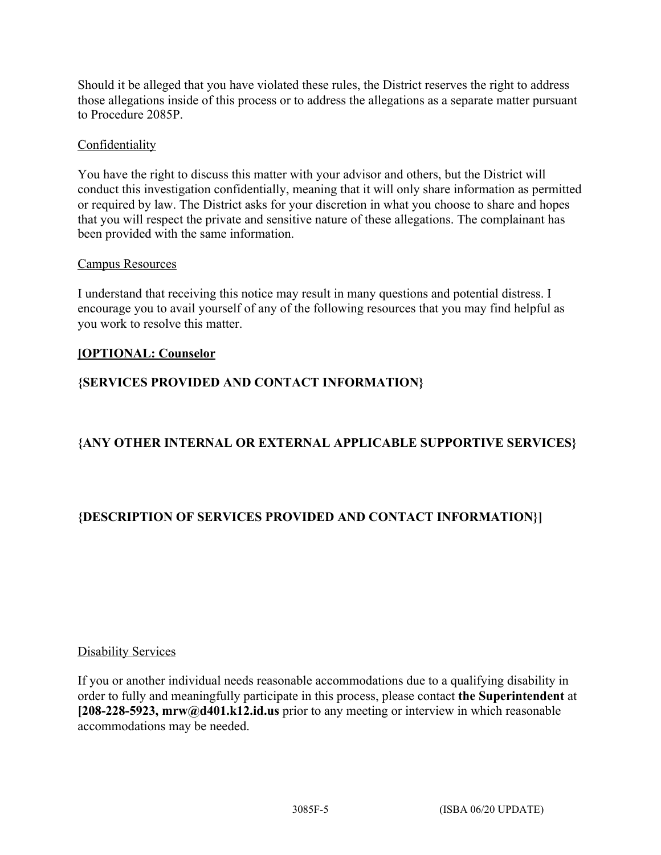Should it be alleged that you have violated these rules, the District reserves the right to address those allegations inside of this process or to address the allegations as a separate matter pursuant to Procedure 2085P.

### Confidentiality

You have the right to discuss this matter with your advisor and others, but the District will conduct this investigation confidentially, meaning that it will only share information as permitted or required by law. The District asks for your discretion in what you choose to share and hopes that you will respect the private and sensitive nature of these allegations. The complainant has been provided with the same information.

### Campus Resources

I understand that receiving this notice may result in many questions and potential distress. I encourage you to avail yourself of any of the following resources that you may find helpful as you work to resolve this matter.

# **[OPTIONAL: Counselor**

# **{SERVICES PROVIDED AND CONTACT INFORMATION}**

# **{ANY OTHER INTERNAL OR EXTERNAL APPLICABLE SUPPORTIVE SERVICES}**

# **{DESCRIPTION OF SERVICES PROVIDED AND CONTACT INFORMATION}]**

### Disability Services

If you or another individual needs reasonable accommodations due to a qualifying disability in order to fully and meaningfully participate in this process, please contact **the Superintendent** at **[208-228-5923, mrw@d401.k12.id.us** prior to any meeting or interview in which reasonable accommodations may be needed.